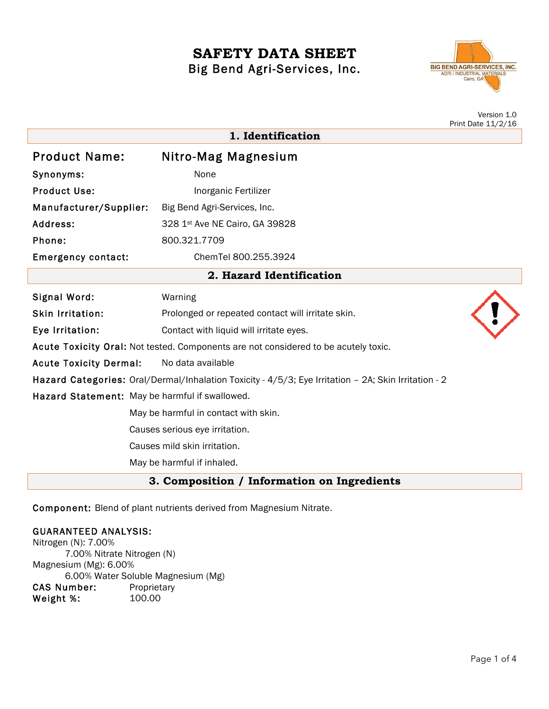# **SAFETY DATA SHEET** Big Bend Agri-Services, Inc.



|                                                                                                      |                                                   | Version 1.0<br>Print Date 11/2/16 |
|------------------------------------------------------------------------------------------------------|---------------------------------------------------|-----------------------------------|
| 1. Identification                                                                                    |                                                   |                                   |
| <b>Product Name:</b>                                                                                 | Nitro-Mag Magnesium                               |                                   |
| Synonyms:                                                                                            | None                                              |                                   |
| <b>Product Use:</b>                                                                                  | Inorganic Fertilizer                              |                                   |
| Manufacturer/Supplier:                                                                               | Big Bend Agri-Services, Inc.                      |                                   |
| Address:                                                                                             | 328 1st Ave NE Cairo, GA 39828                    |                                   |
| Phone:                                                                                               | 800.321.7709                                      |                                   |
| <b>Emergency contact:</b>                                                                            | ChemTel 800.255.3924                              |                                   |
| 2. Hazard Identification                                                                             |                                                   |                                   |
| Signal Word:                                                                                         | Warning                                           |                                   |
| <b>Skin Irritation:</b>                                                                              | Prolonged or repeated contact will irritate skin. |                                   |
| Eye Irritation:                                                                                      | Contact with liquid will irritate eyes.           |                                   |
| Acute Toxicity Oral: Not tested. Components are not considered to be acutely toxic.                  |                                                   |                                   |
| <b>Acute Toxicity Dermal:</b>                                                                        | No data available                                 |                                   |
| Hazard Categories: Oral/Dermal/Inhalation Toxicity - 4/5/3; Eye Irritation - 2A; Skin Irritation - 2 |                                                   |                                   |
| Hazard Statement: May be harmful if swallowed.                                                       |                                                   |                                   |
| May be harmful in contact with skin.                                                                 |                                                   |                                   |
| Causes serious eye irritation.                                                                       |                                                   |                                   |
| Causes mild skin irritation.                                                                         |                                                   |                                   |
|                                                                                                      | May be harmful if inhaled.                        |                                   |
| 3. Composition / Information on Ingredients                                                          |                                                   |                                   |

Component: Blend of plant nutrients derived from Magnesium Nitrate.

## GUARANTEED ANALYSIS:

Nitrogen (N): 7.00% 7.00% Nitrate Nitrogen (N) Magnesium (Mg): 6.00% 6.00% Water Soluble Magnesium (Mg) CAS Number: Proprietary Weight %: 100.00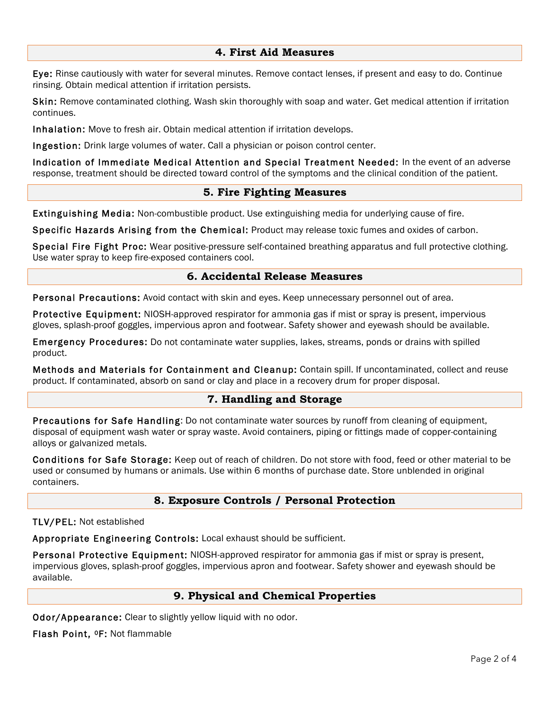## **4. First Aid Measures**

Eye: Rinse cautiously with water for several minutes. Remove contact lenses, if present and easy to do. Continue rinsing. Obtain medical attention if irritation persists.

Skin: Remove contaminated clothing. Wash skin thoroughly with soap and water. Get medical attention if irritation continues.

Inhalation: Move to fresh air. Obtain medical attention if irritation develops.

Ingestion: Drink large volumes of water. Call a physician or poison control center.

Indication of Immediate Medical Attention and Special Treatment Needed: In the event of an adverse response, treatment should be directed toward control of the symptoms and the clinical condition of the patient.

## **5. Fire Fighting Measures**

Extinguishing Media: Non-combustible product. Use extinguishing media for underlying cause of fire.

Specific Hazards Arising from the Chemical: Product may release toxic fumes and oxides of carbon.

Special Fire Fight Proc: Wear positive-pressure self-contained breathing apparatus and full protective clothing. Use water spray to keep fire-exposed containers cool.

## **6. Accidental Release Measures**

Personal Precautions: Avoid contact with skin and eyes. Keep unnecessary personnel out of area.

Protective Equipment: NIOSH-approved respirator for ammonia gas if mist or spray is present, impervious gloves, splash-proof goggles, impervious apron and footwear. Safety shower and eyewash should be available.

Emergency Procedures: Do not contaminate water supplies, lakes, streams, ponds or drains with spilled product.

Methods and Materials for Containment and Cleanup: Contain spill. If uncontaminated, collect and reuse product. If contaminated, absorb on sand or clay and place in a recovery drum for proper disposal.

## **7. Handling and Storage**

Precautions for Safe Handling: Do not contaminate water sources by runoff from cleaning of equipment, disposal of equipment wash water or spray waste. Avoid containers, piping or fittings made of copper-containing alloys or galvanized metals.

Conditions for Safe Storage: Keep out of reach of children. Do not store with food, feed or other material to be used or consumed by humans or animals. Use within 6 months of purchase date. Store unblended in original containers.

## **8. Exposure Controls / Personal Protection**

TLV/PEL: Not established

Appropriate Engineering Controls: Local exhaust should be sufficient.

Personal Protective Equipment: NIOSH-approved respirator for ammonia gas if mist or spray is present, impervious gloves, splash-proof goggles, impervious apron and footwear. Safety shower and eyewash should be available.

# **9. Physical and Chemical Properties**

Odor/Appearance: Clear to slightly yellow liquid with no odor.

Flash Point, 0F: Not flammable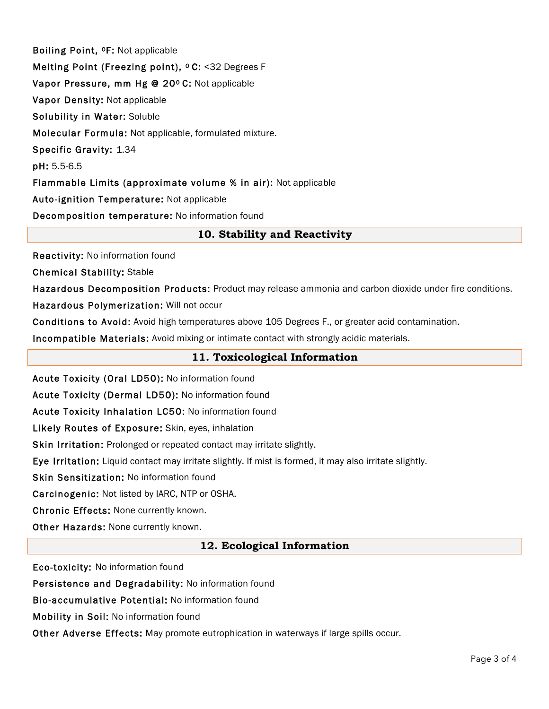Boiling Point, 0F: Not applicable Melting Point (Freezing point), <sup>o</sup> C: <32 Degrees F Vapor Pressure, mm Hg @ 20º C: Not applicable Vapor Density: Not applicable Solubility in Water: Soluble Molecular Formula: Not applicable, formulated mixture. Specific Gravity: 1.34 pH: 5.5-6.5 Flammable Limits (approximate volume % in air): Not applicable Auto-ignition Temperature: Not applicable Decomposition temperature: No information found

# **10. Stability and Reactivity**

Reactivity: No information found

Chemical Stability: Stable

Hazardous Decomposition Products: Product may release ammonia and carbon dioxide under fire conditions.

Hazardous Polymerization: Will not occur

Conditions to Avoid: Avoid high temperatures above 105 Degrees F., or greater acid contamination.

Incompatible Materials: Avoid mixing or intimate contact with strongly acidic materials.

## **11. Toxicological Information**

Acute Toxicity (Oral LD50): No information found

Acute Toxicity (Dermal LD50): No information found

Acute Toxicity Inhalation LC50: No information found

Likely Routes of Exposure: Skin, eyes, inhalation

Skin Irritation: Prolonged or repeated contact may irritate slightly.

Eye Irritation: Liquid contact may irritate slightly. If mist is formed, it may also irritate slightly.

Skin Sensitization: No information found

Carcinogenic: Not listed by IARC, NTP or OSHA.

Chronic Effects: None currently known.

Other Hazards: None currently known.

## **12. Ecological Information**

Eco-toxicity: No information found

Persistence and Degradability: No information found

Bio-accumulative Potential: No information found

Mobility in Soil: No information found

Other Adverse Effects: May promote eutrophication in waterways if large spills occur.